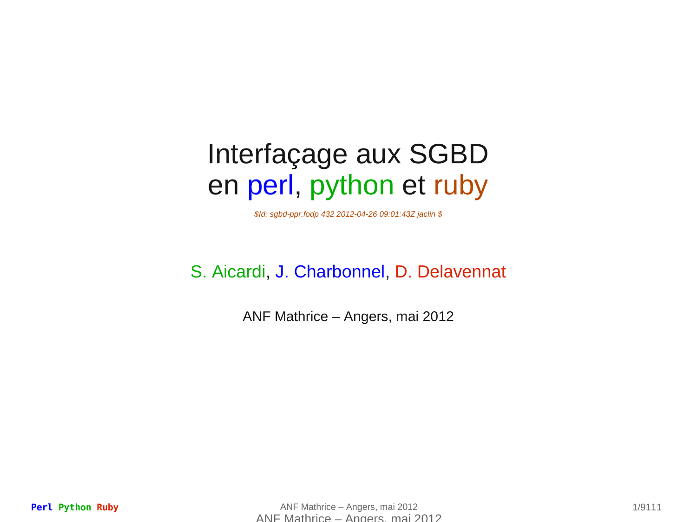### Interfaçage aux SGBD en perl, python et ruby

*\$Id: sgbd-ppr.fodp 432 2012-04-26 09:01:43Z jaclin \$*

#### S. Aicardi, J. Charbonnel, D. Delavennat

ANF Mathrice – Angers, mai 2012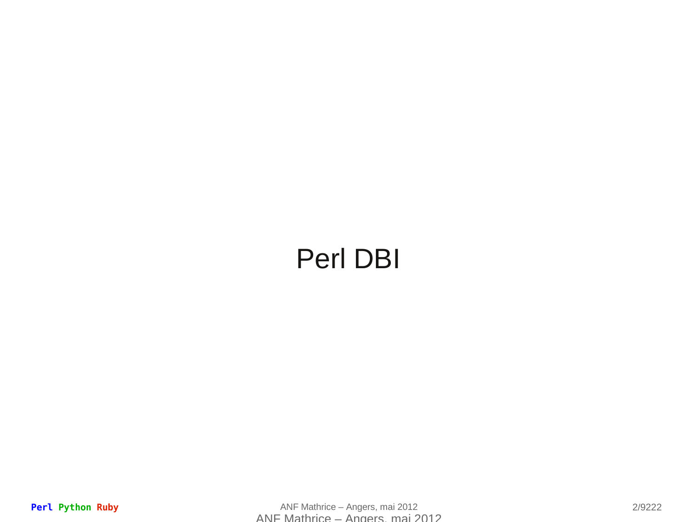### Perl DBI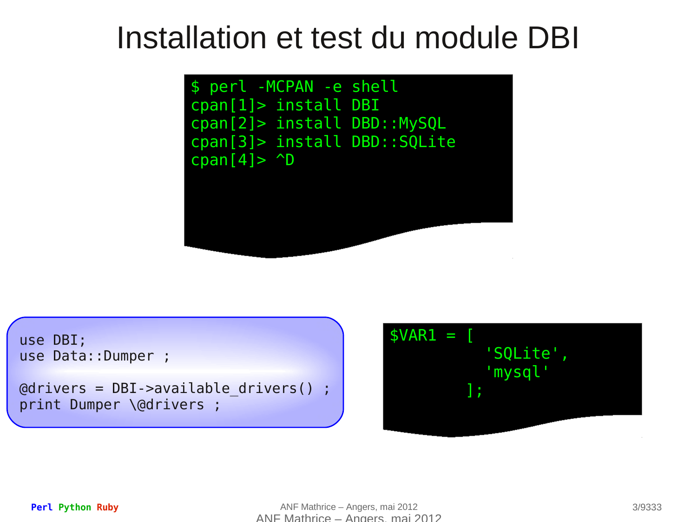## Installation et test du module DBI

```
$ perl -MCPAN -e shell
cpan[1]> install DBI
cpan[2]> install DBD::MySQL
cpan[3]> install DBD::SQLite
cpan[4]> ^{\wedge}D
```
use DBI; use Data::Dumper ;

@drivers = DBI->available\_drivers() ; print Dumper \@drivers ;

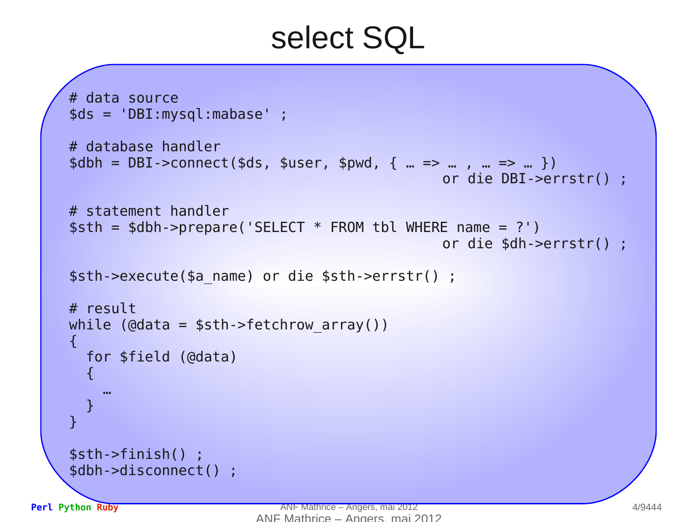# select SQL

```
# data source
$ds = 'DBI:mysql:mabase' ; 
# database handler
$dbh = DBI - \text{connect}($ds, $user, $pwd, { ... => ... , ... => ... }or die DBI->errstr() ;
# statement handler
$sth = $dbh->prepare('SELECT * FROM tbl WHERE name = ?') 
                                                or die $dh->errstr() ;
$sth->execute($a_name) or die $sth->errstr() ;
# result
while (\phidata = $sth->fetchrow array())
\mathbf{f} for $field (@data)
  {
 …
 }
}
$sth->finish() ;
$dbh->disconnect() ;
```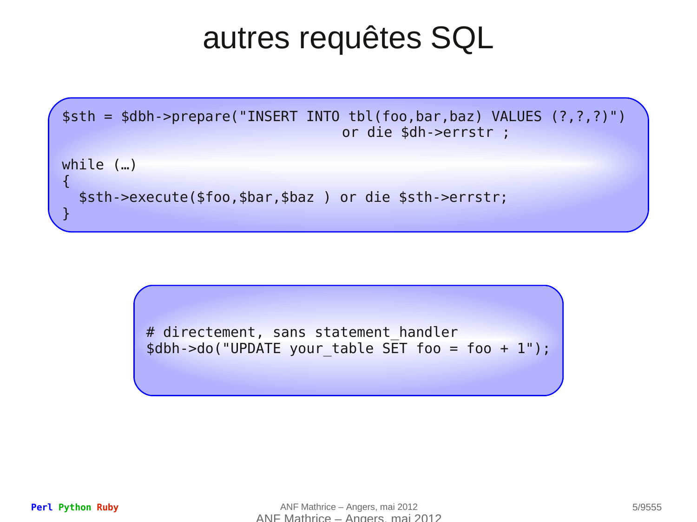# autres requêtes SQL



# directement, sans statement handler \$dbh->do("UPDATE your\_table SET foo = foo + 1");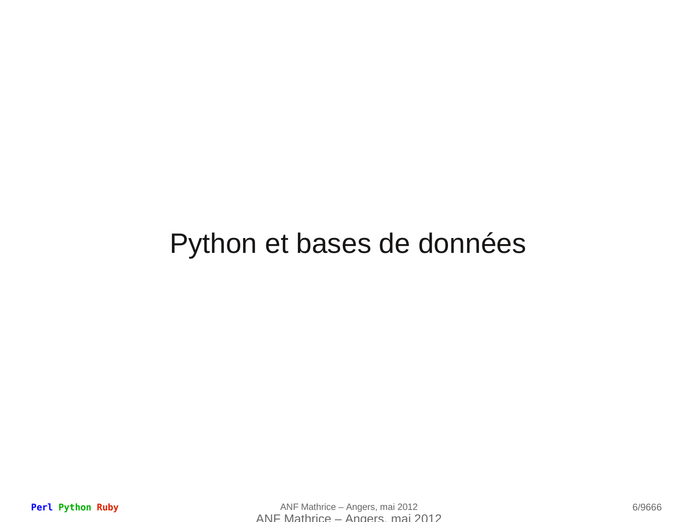#### Python et bases de données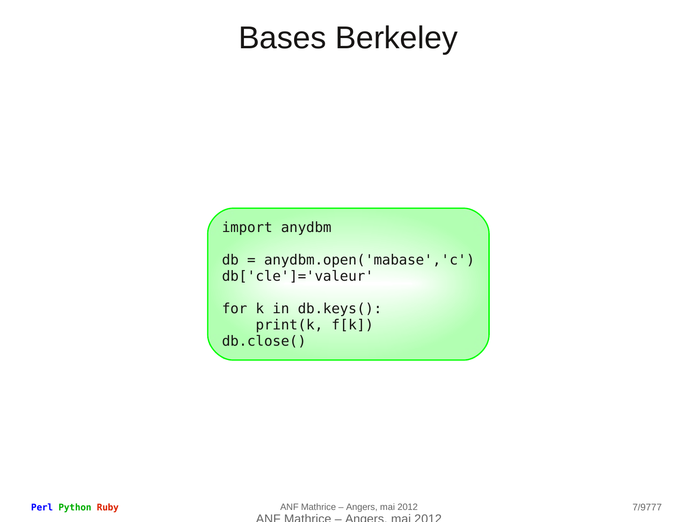## Bases Berkeley

import anydbm

```
db = anydbm.open('mabase','c')
db['cle']='valeur'
for k in db.keys():
     print(k, f[k])
db.close()
```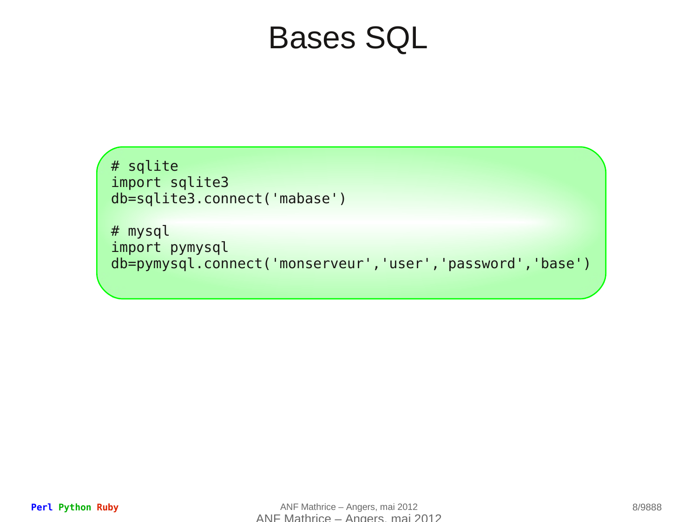# Bases SQL

```
# sqlite 
import sqlite3
db=sqlite3.connect('mabase')
```
# mysql import pymysql db=pymysql.connect('monserveur','user','password','base')